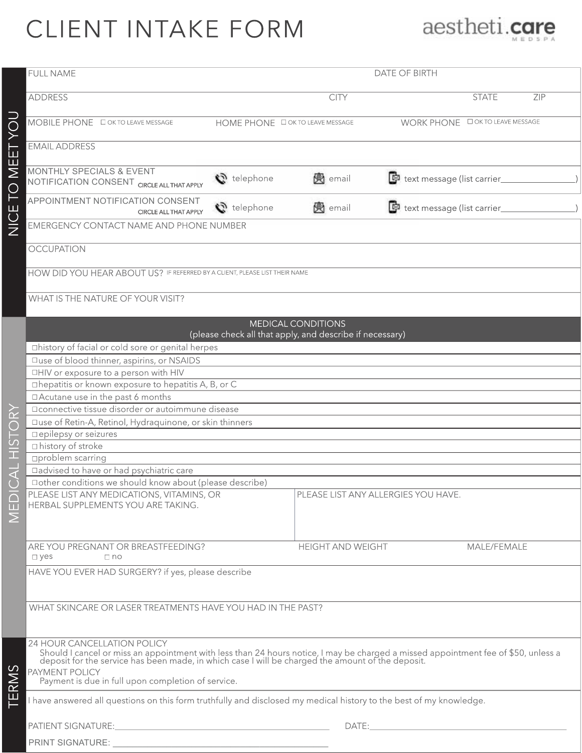## CLIENT INTAKE FORM



|                                                | <b>FULL NAME</b>                                                                                                                                                                                                                                                  | <b>DATE OF BIRTH</b>                   |                          |                                          |     |
|------------------------------------------------|-------------------------------------------------------------------------------------------------------------------------------------------------------------------------------------------------------------------------------------------------------------------|----------------------------------------|--------------------------|------------------------------------------|-----|
| NICE TO MEET YOU                               | <b>ADDRESS</b>                                                                                                                                                                                                                                                    |                                        | <b>CITY</b>              | <b>STATE</b>                             | ZIP |
|                                                | MOBILE PHONE <b>O OK TO LEAVE MESSAGE</b>                                                                                                                                                                                                                         | HOME PHONE <b>DOK TO LEAVE MESSAGE</b> |                          | WORK PHONE <b>DOKTO LEAVE MESSAGE</b>    |     |
|                                                | <b>EMAIL ADDRESS</b>                                                                                                                                                                                                                                              |                                        |                          |                                          |     |
|                                                | MONTHLY SPECIALS & EVENT<br>NOTIFICATION CONSENT CIRCLE ALL THAT APPLY                                                                                                                                                                                            | telephone                              | <b>网</b> email           | text message (list carrier               |     |
|                                                | APPOINTMENT NOTIFICATION CONSENT<br>CIRCLE ALL THAT APPLY                                                                                                                                                                                                         | $\mathbf{C}$ telephone                 | <b>网</b> email           | text message (list carrier_              |     |
|                                                | EMERGENCY CONTACT NAME AND PHONE NUMBER                                                                                                                                                                                                                           |                                        |                          |                                          |     |
|                                                | <b>OCCUPATION</b>                                                                                                                                                                                                                                                 |                                        |                          |                                          |     |
|                                                | HOW DID YOU HEAR ABOUT US? IF REFERRED BY A CLIENT, PLEASE LIST THEIR NAME                                                                                                                                                                                        |                                        |                          |                                          |     |
|                                                | WHAT IS THE NATURE OF YOUR VISIT?                                                                                                                                                                                                                                 |                                        |                          |                                          |     |
| $\bf \widetilde{\approx}$<br>$\subset$<br>HIST | <b>MEDICAL CONDITIONS</b><br>(please check all that apply, and describe if necessary)                                                                                                                                                                             |                                        |                          |                                          |     |
|                                                | □history of facial or cold sore or genital herpes                                                                                                                                                                                                                 |                                        |                          |                                          |     |
|                                                | □use of blood thinner, aspirins, or NSAIDS                                                                                                                                                                                                                        |                                        |                          |                                          |     |
|                                                | □HIV or exposure to a person with HIV                                                                                                                                                                                                                             |                                        |                          |                                          |     |
|                                                | □ hepatitis or known exposure to hepatitis A, B, or C                                                                                                                                                                                                             |                                        |                          |                                          |     |
|                                                | □ Acutane use in the past 6 months                                                                                                                                                                                                                                |                                        |                          |                                          |     |
|                                                | □ connective tissue disorder or autoimmune disease                                                                                                                                                                                                                |                                        |                          |                                          |     |
|                                                | □use of Retin-A, Retinol, Hydraquinone, or skin thinners                                                                                                                                                                                                          |                                        |                          |                                          |     |
|                                                | □ epilepsy or seizures                                                                                                                                                                                                                                            |                                        |                          |                                          |     |
|                                                | □ history of stroke                                                                                                                                                                                                                                               |                                        |                          |                                          |     |
|                                                | □problem scarring                                                                                                                                                                                                                                                 |                                        |                          |                                          |     |
| $\overline{\text{a}}$                          | □ advised to have or had psychiatric care                                                                                                                                                                                                                         |                                        |                          |                                          |     |
|                                                | □ other conditions we should know about (please describe)                                                                                                                                                                                                         |                                        |                          |                                          |     |
| $\cap$                                         | PLEASE LIST ANY MEDICATIONS, VITAMINS, OR                                                                                                                                                                                                                         |                                        |                          | PLEASE LIST ANY ALLERGIES YOU HAVE.      |     |
| ū                                              | HERBAL SUPPLEMENTS YOU ARE TAKING.                                                                                                                                                                                                                                |                                        |                          |                                          |     |
| $\overline{\Sigma}$                            |                                                                                                                                                                                                                                                                   |                                        |                          |                                          |     |
|                                                |                                                                                                                                                                                                                                                                   |                                        |                          |                                          |     |
|                                                | ARE YOU PREGNANT OR BREASTFEEDING?<br>$\square$ yes<br>$\Box$ no                                                                                                                                                                                                  |                                        | <b>HEIGHT AND WEIGHT</b> | MALE/FEMALE                              |     |
|                                                | HAVE YOU EVER HAD SURGERY? if yes, please describe                                                                                                                                                                                                                |                                        |                          |                                          |     |
|                                                |                                                                                                                                                                                                                                                                   |                                        |                          |                                          |     |
|                                                | WHAT SKINCARE OR LASER TREATMENTS HAVE YOU HAD IN THE PAST?                                                                                                                                                                                                       |                                        |                          |                                          |     |
|                                                |                                                                                                                                                                                                                                                                   |                                        |                          |                                          |     |
|                                                |                                                                                                                                                                                                                                                                   |                                        |                          |                                          |     |
| TERMS                                          | 24 HOUR CANCELLATION POLICY<br>Should I cancel or miss an appointment with less than 24 hours notice, I may be charged a missed appointment fee of \$50, unless a<br>deposit for the service has been made, in which case I will be charged the amount of the dep |                                        |                          |                                          |     |
|                                                | PAYMENT POLICY<br>Payment is due in full upon completion of service.                                                                                                                                                                                              |                                        |                          |                                          |     |
|                                                | have answered all questions on this form truthfully and disclosed my medical history to the best of my knowledge.                                                                                                                                                 |                                        |                          |                                          |     |
|                                                |                                                                                                                                                                                                                                                                   |                                        |                          | DATE: A CONTRACTOR CONTRACTOR CONTRACTOR |     |
|                                                | PRINT SIGNATURE:                                                                                                                                                                                                                                                  |                                        |                          |                                          |     |